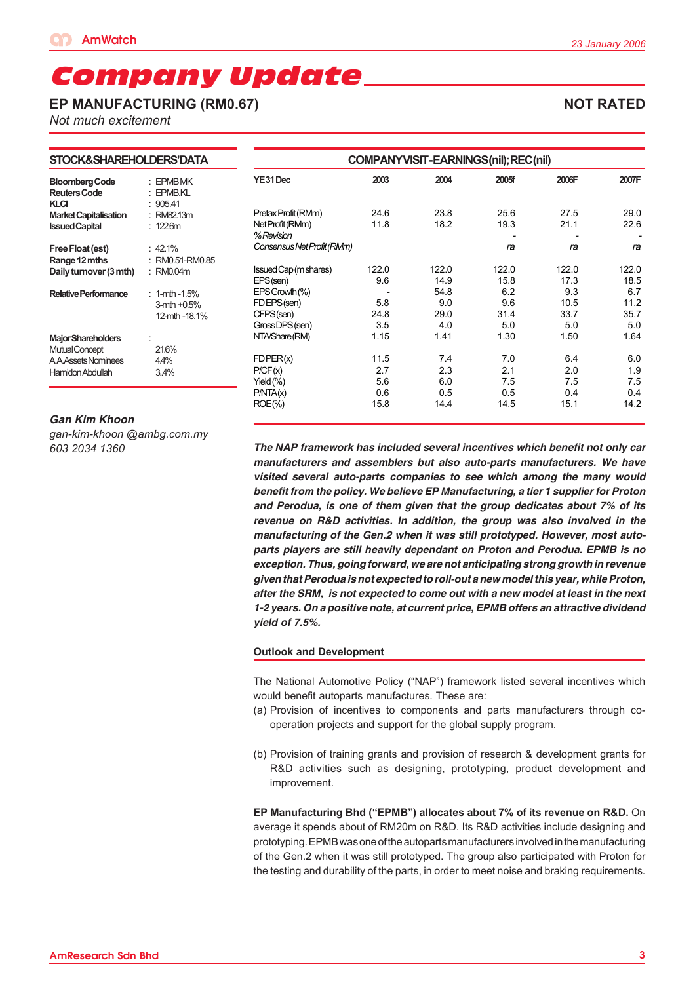# **Company Update**

**EP MANUFACTURING (RM0.67)** NOT RATED

*Not much excitement*

| STOCK&SHAREHOLDERS'DATA                                     |                                                       | COMPANYVISIT-EARNINGS(nil); REC(nil)                       |                    |                            |                           |                            |                            |
|-------------------------------------------------------------|-------------------------------------------------------|------------------------------------------------------------|--------------------|----------------------------|---------------------------|----------------------------|----------------------------|
| <b>Bloomberg Code</b><br><b>Reuters Code</b><br><b>KLCI</b> | $:$ EPMBMK<br>: EPMB.KL<br>:905.41                    | YE31Dec                                                    | 2003               | 2004                       | 2005f                     | 2006F                      | 2007F                      |
| <b>Market Capitalisation</b><br><b>Issued Capital</b>       | : RM82.13m<br>: $122.6m$                              | Pretax Profit (RMm)<br>Net Profit (RMm)<br>%Revision       | 24.6<br>11.8       | 23.8<br>18.2               | 25.6<br>19.3              | 27.5<br>21.1               | 29.0<br>22.6               |
| Free Float (est)<br>Range 12 mths                           | $: 42.1\%$<br>: RM0.51-RM0.85                         | Consensus Net Profit (RMm)                                 |                    |                            | m                         | m                          | m                          |
| Daily turnover (3 mth)                                      | : RM0.04m                                             | Issued Cap (m shares)<br>EPS (sen)                         | 122.0<br>9.6       | 122.0<br>14.9              | 122.0<br>15.8             | 122.0<br>17.3              | 122.0<br>18.5              |
| <b>Relative Performance</b>                                 | : 1-mth $-1.5\%$<br>$3 - mth + 0.5%$<br>12-mth -18.1% | EPS Growth (%)<br>FDEPS(sen)<br>CFPS(sen)<br>GrossDPS(sen) | 5.8<br>24.8<br>3.5 | 54.8<br>9.0<br>29.0<br>4.0 | 6.2<br>9.6<br>31.4<br>5.0 | 9.3<br>10.5<br>33.7<br>5.0 | 6.7<br>11.2<br>35.7<br>5.0 |
| <b>Major Shareholders</b><br>Mutual Concept                 | 21.6%                                                 | NTA/Share (RM)                                             | 1.15               | 1.41                       | 1.30                      | 1.50                       | 1.64                       |
| <b>AAAssetsNominees</b><br>Hamidon Abdullah                 | 4.4%<br>3.4%                                          | FDPER(x)<br>P/CF(x)<br>Yield $(\% )$                       | 11.5<br>2.7<br>5.6 | 7.4<br>2.3<br>6.0          | 7.0<br>2.1<br>7.5         | 6.4<br>2.0<br>7.5          | 6.0<br>1.9<br>7.5          |
|                                                             |                                                       | P/NTA(x)<br>$ROE(\% )$                                     | 0.6<br>15.8        | 0.5<br>14.4                | 0.5<br>14.5               | 0.4<br>15.1                | 0.4<br>14.2                |

## *Gan Kim Khoon*

*gan-kim-khoon @ambg.com.my 603 2034 1360*

*The NAP framework has included several incentives which benefit not only car manufacturers and assemblers but also auto-parts manufacturers. We have visited several auto-parts companies to see which among the many would benefit from the policy. We believe EP Manufacturing, a tier 1 supplier for Proton and Perodua, is one of them given that the group dedicates about 7% of its revenue on R&D activities. In addition, the group was also involved in the manufacturing of the Gen.2 when it was still prototyped. However, most autoparts players are still heavily dependant on Proton and Perodua. EPMB is no exception. Thus, going forward, we are not anticipating strong growth in revenue given that Perodua is not expected to roll-out a new model this year, while Proton, after the SRM, is not expected to come out with a new model at least in the next 1-2 years. On a positive note, at current price, EPMB offers an attractive dividend yield of 7.5%.*

# **Outlook and Development**

The National Automotive Policy ("NAP") framework listed several incentives which would benefit autoparts manufactures. These are:

- (a) Provision of incentives to components and parts manufacturers through cooperation projects and support for the global supply program.
- (b) Provision of training grants and provision of research & development grants for R&D activities such as designing, prototyping, product development and improvement.

**EP Manufacturing Bhd ("EPMB") allocates about 7% of its revenue on R&D.** On average it spends about of RM20m on R&D. Its R&D activities include designing and prototyping. EPMB was one of the autoparts manufacturers involved in the manufacturing of the Gen.2 when it was still prototyped. The group also participated with Proton for the testing and durability of the parts, in order to meet noise and braking requirements.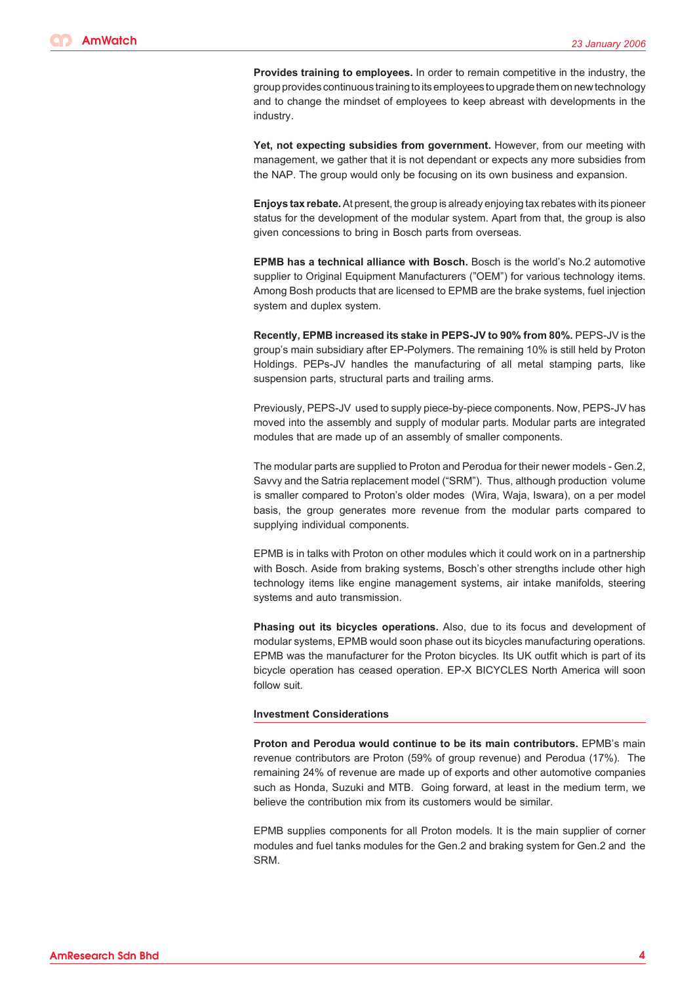**Provides training to employees.** In order to remain competitive in the industry, the group provides continuous training to its employees to upgrade them on new technology and to change the mindset of employees to keep abreast with developments in the industry.

**Yet, not expecting subsidies from government.** However, from our meeting with management, we gather that it is not dependant or expects any more subsidies from the NAP. The group would only be focusing on its own business and expansion.

**Enjoys tax rebate.** At present, the group is already enjoying tax rebates with its pioneer status for the development of the modular system. Apart from that, the group is also given concessions to bring in Bosch parts from overseas.

**EPMB has a technical alliance with Bosch.** Bosch is the world's No.2 automotive supplier to Original Equipment Manufacturers ("OEM") for various technology items. Among Bosh products that are licensed to EPMB are the brake systems, fuel injection system and duplex system.

**Recently, EPMB increased its stake in PEPS-JV to 90% from 80%.** PEPS-JV is the group's main subsidiary after EP-Polymers. The remaining 10% is still held by Proton Holdings. PEPs-JV handles the manufacturing of all metal stamping parts, like suspension parts, structural parts and trailing arms.

Previously, PEPS-JV used to supply piece-by-piece components. Now, PEPS-JV has moved into the assembly and supply of modular parts. Modular parts are integrated modules that are made up of an assembly of smaller components.

The modular parts are supplied to Proton and Perodua for their newer models - Gen.2, Savvy and the Satria replacement model ("SRM"). Thus, although production volume is smaller compared to Proton's older modes (Wira, Waja, Iswara), on a per model basis, the group generates more revenue from the modular parts compared to supplying individual components.

EPMB is in talks with Proton on other modules which it could work on in a partnership with Bosch. Aside from braking systems, Bosch's other strengths include other high technology items like engine management systems, air intake manifolds, steering systems and auto transmission.

**Phasing out its bicycles operations.** Also, due to its focus and development of modular systems, EPMB would soon phase out its bicycles manufacturing operations. EPMB was the manufacturer for the Proton bicycles. Its UK outfit which is part of its bicycle operation has ceased operation. EP-X BICYCLES North America will soon follow suit.

#### **Investment Considerations**

**Proton and Perodua would continue to be its main contributors.** EPMB's main revenue contributors are Proton (59% of group revenue) and Perodua (17%). The remaining 24% of revenue are made up of exports and other automotive companies such as Honda, Suzuki and MTB. Going forward, at least in the medium term, we believe the contribution mix from its customers would be similar.

EPMB supplies components for all Proton models. It is the main supplier of corner modules and fuel tanks modules for the Gen.2 and braking system for Gen.2 and the SRM.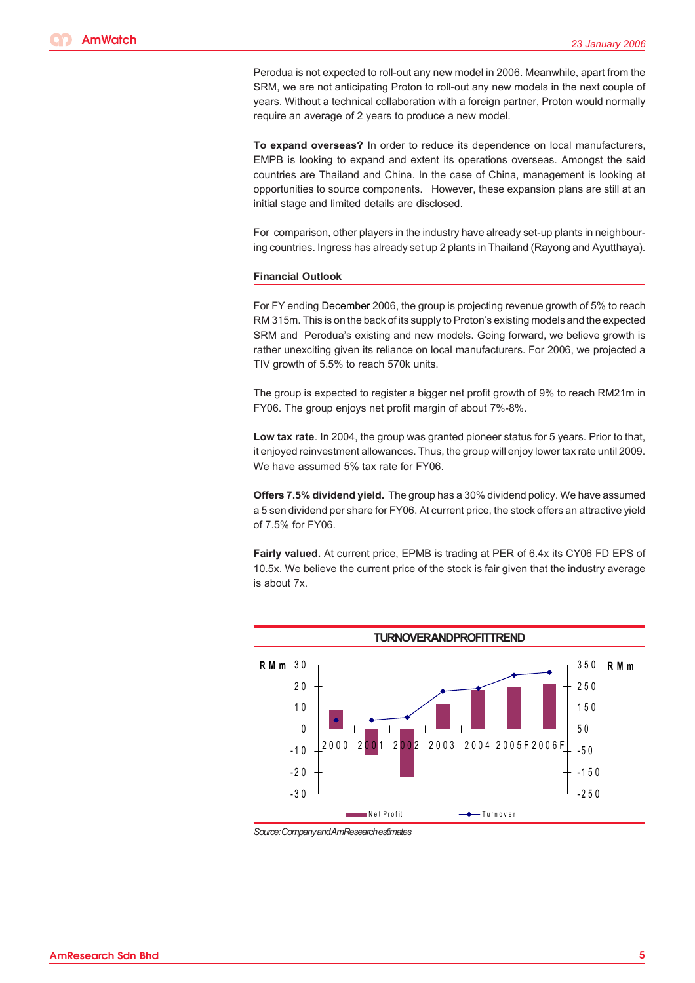Perodua is not expected to roll-out any new model in 2006. Meanwhile, apart from the SRM, we are not anticipating Proton to roll-out any new models in the next couple of years. Without a technical collaboration with a foreign partner, Proton would normally require an average of 2 years to produce a new model.

**To expand overseas?** In order to reduce its dependence on local manufacturers, EMPB is looking to expand and extent its operations overseas. Amongst the said countries are Thailand and China. In the case of China, management is looking at opportunities to source components. However, these expansion plans are still at an initial stage and limited details are disclosed.

For comparison, other players in the industry have already set-up plants in neighbouring countries. Ingress has already set up 2 plants in Thailand (Rayong and Ayutthaya).

# **Financial Outlook**

For FY ending December 2006, the group is projecting revenue growth of 5% to reach RM 315m. This is on the back of its supply to Proton's existing models and the expected SRM and Perodua's existing and new models. Going forward, we believe growth is rather unexciting given its reliance on local manufacturers. For 2006, we projected a TIV growth of 5.5% to reach 570k units.

The group is expected to register a bigger net profit growth of 9% to reach RM21m in FY06. The group enjoys net profit margin of about 7%-8%.

**Low tax rate**. In 2004, the group was granted pioneer status for 5 years. Prior to that, it enjoyed reinvestment allowances. Thus, the group will enjoy lower tax rate until 2009. We have assumed 5% tax rate for FY06.

**Offers 7.5% dividend yield.** The group has a 30% dividend policy. We have assumed a 5 sen dividend per share for FY06. At current price, the stock offers an attractive yield of 7.5% for FY06.

**Fairly valued.** At current price, EPMB is trading at PER of 6.4x its CY06 FD EPS of 10.5x. We believe the current price of the stock is fair given that the industry average is about 7x.



*Source: Company and AmResearch estimates*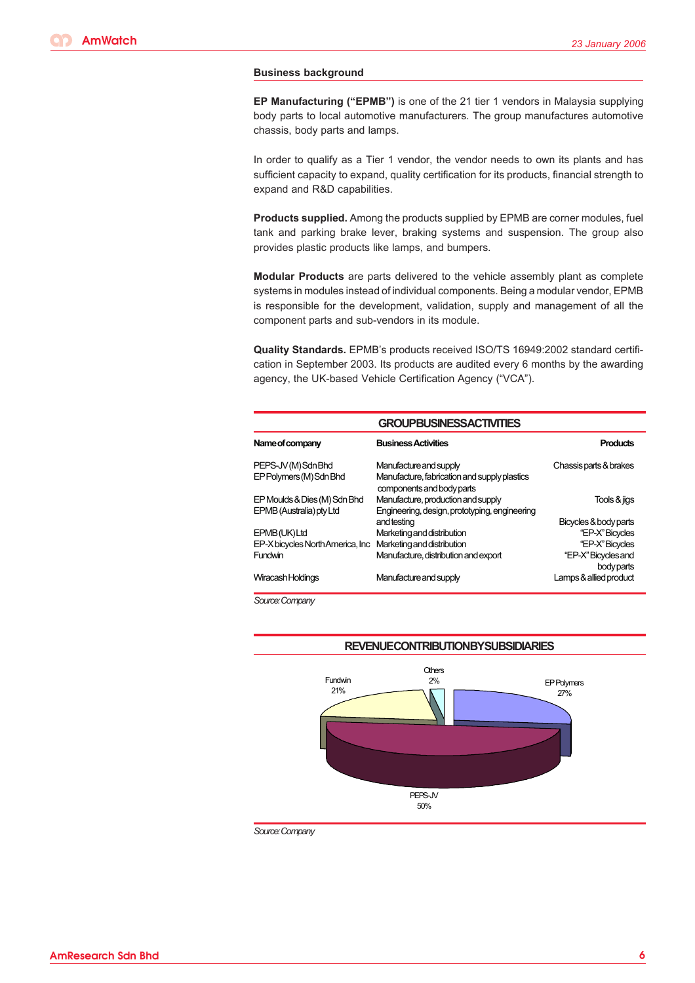### **Business background**

**EP Manufacturing ("EPMB")** is one of the 21 tier 1 vendors in Malaysia supplying body parts to local automotive manufacturers. The group manufactures automotive chassis, body parts and lamps.

In order to qualify as a Tier 1 vendor, the vendor needs to own its plants and has sufficient capacity to expand, quality certification for its products, financial strength to expand and R&D capabilities.

**Products supplied.** Among the products supplied by EPMB are corner modules, fuel tank and parking brake lever, braking systems and suspension. The group also provides plastic products like lamps, and bumpers.

**Modular Products** are parts delivered to the vehicle assembly plant as complete systems in modules instead of individual components. Being a modular vendor, EPMB is responsible for the development, validation, supply and management of all the component parts and sub-vendors in its module.

**Quality Standards.** EPMB's products received ISO/TS 16949:2002 standard certification in September 2003. Its products are audited every 6 months by the awarding agency, the UK-based Vehicle Certification Agency ("VCA").

|                                                          | <b>GROUPBUSINESSACTIVITIES</b>                                                                      |                        |
|----------------------------------------------------------|-----------------------------------------------------------------------------------------------------|------------------------|
| Name of company                                          | <b>Business Activities</b>                                                                          | <b>Products</b>        |
| PEPS-JV(M)SdnBhd<br>EPPolymers (M) Sdn Bhd               | Manufacture and supply<br>Manufacture, fabrication and supply plastics<br>components and body parts | Chassis parts & brakes |
| EP Moulds & Dies (M) Sdn Bhd<br>EPMB (Australia) pty Ltd | Manufacture, production and supply<br>Engineering, design, prototyping, engineering                 | Tools & jigs           |
|                                                          | and testing                                                                                         | Bicycles & body parts  |
| EPMB(UK)Ltd                                              | Marketing and distribution                                                                          | "EP-X" Bicycles        |
| EP-X bicycles North America, Inc.                        | Marketing and distribution                                                                          | "EP-X" Bicycles        |
| Fundwin                                                  | Manufacture, distribution and export                                                                | "EP-X" Bicycles and    |
|                                                          |                                                                                                     | body parts             |
| Wiracash Holdings                                        | Manufacture and supply                                                                              | Lamps & allied product |

*Source: Company*



*Source: Company*